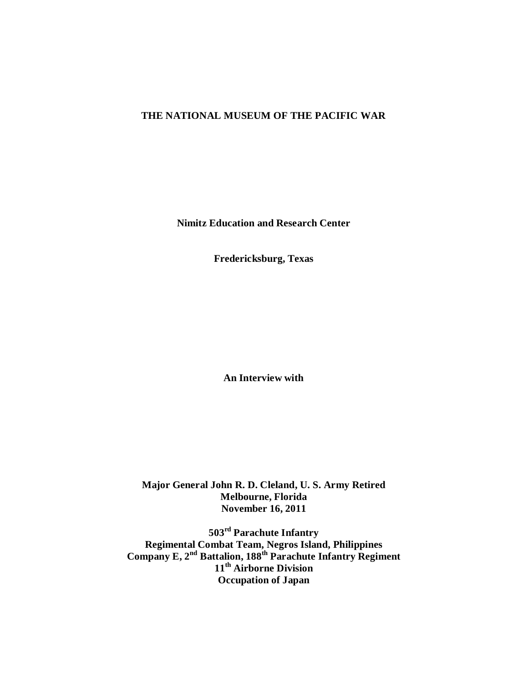# **THE NATIONAL MUSEUM OF THE PACIFIC WAR**

**Nimitz Education and Research Center**

**Fredericksburg, Texas**

**An Interview with** 

**Major General John R. D. Cleland, U. S. Army Retired Melbourne, Florida November 16, 2011**

**503rd Parachute Infantry Regimental Combat Team, Negros Island, Philippines Company E, 2nd Battalion, 188th Parachute Infantry Regiment 11th Airborne Division Occupation of Japan**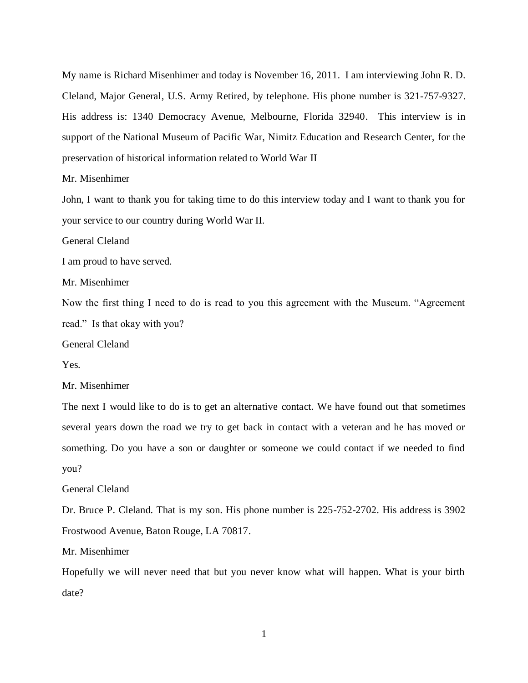My name is Richard Misenhimer and today is November 16, 2011. I am interviewing John R. D. Cleland, Major General, U.S. Army Retired, by telephone. His phone number is 321-757-9327. His address is: 1340 Democracy Avenue, Melbourne, Florida 32940. This interview is in support of the National Museum of Pacific War, Nimitz Education and Research Center, for the preservation of historical information related to World War II

## Mr. Misenhimer

John, I want to thank you for taking time to do this interview today and I want to thank you for your service to our country during World War II.

General Cleland

I am proud to have served.

Mr. Misenhimer

Now the first thing I need to do is read to you this agreement with the Museum. "Agreement read." Is that okay with you?

General Cleland

Yes.

Mr. Misenhimer

The next I would like to do is to get an alternative contact. We have found out that sometimes several years down the road we try to get back in contact with a veteran and he has moved or something. Do you have a son or daughter or someone we could contact if we needed to find you?

### General Cleland

Dr. Bruce P. Cleland. That is my son. His phone number is 225-752-2702. His address is 3902 Frostwood Avenue, Baton Rouge, LA 70817.

Mr. Misenhimer

Hopefully we will never need that but you never know what will happen. What is your birth date?

1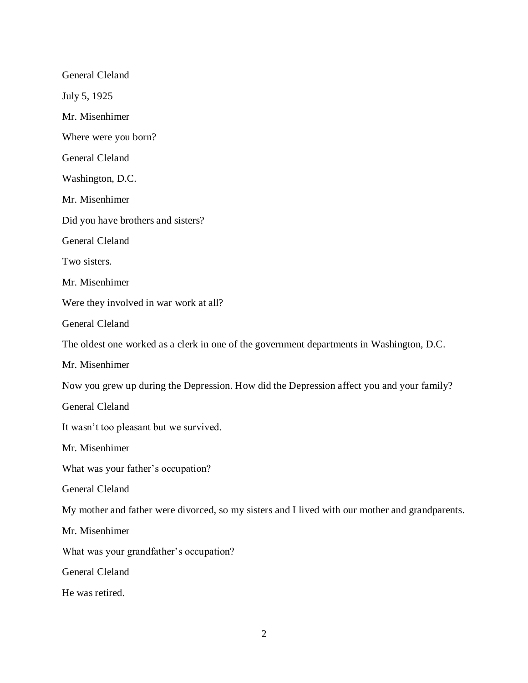General Cleland July 5, 1925 Mr. Misenhimer Where were you born? General Cleland Washington, D.C. Mr. Misenhimer Did you have brothers and sisters? General Cleland Two sisters. Mr. Misenhimer Were they involved in war work at all? General Cleland The oldest one worked as a clerk in one of the government departments in Washington, D.C. Mr. Misenhimer Now you grew up during the Depression. How did the Depression affect you and your family? General Cleland It wasn't too pleasant but we survived. Mr. Misenhimer What was your father's occupation? General Cleland My mother and father were divorced, so my sisters and I lived with our mother and grandparents. Mr. Misenhimer What was your grandfather's occupation? General Cleland He was retired.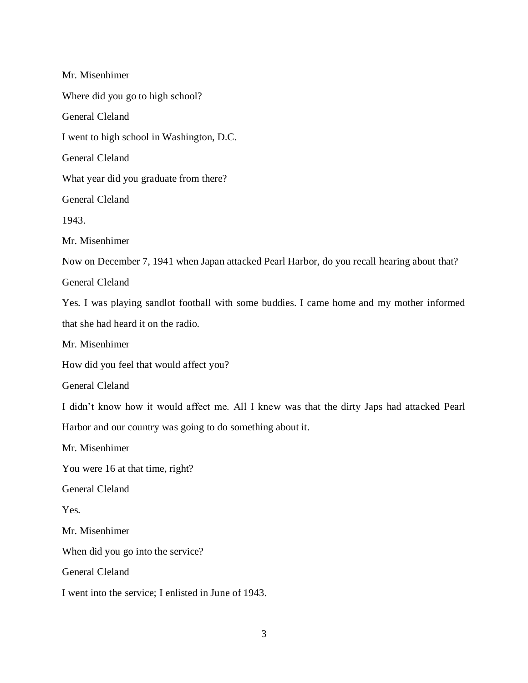Mr. Misenhimer Where did you go to high school? General Cleland I went to high school in Washington, D.C. General Cleland What year did you graduate from there? General Cleland 1943. Mr. Misenhimer Now on December 7, 1941 when Japan attacked Pearl Harbor, do you recall hearing about that? General Cleland Yes. I was playing sandlot football with some buddies. I came home and my mother informed that she had heard it on the radio. Mr. Misenhimer How did you feel that would affect you? General Cleland I didn't know how it would affect me. All I knew was that the dirty Japs had attacked Pearl Harbor and our country was going to do something about it. Mr. Misenhimer You were 16 at that time, right? General Cleland Yes. Mr. Misenhimer When did you go into the service? General Cleland I went into the service; I enlisted in June of 1943.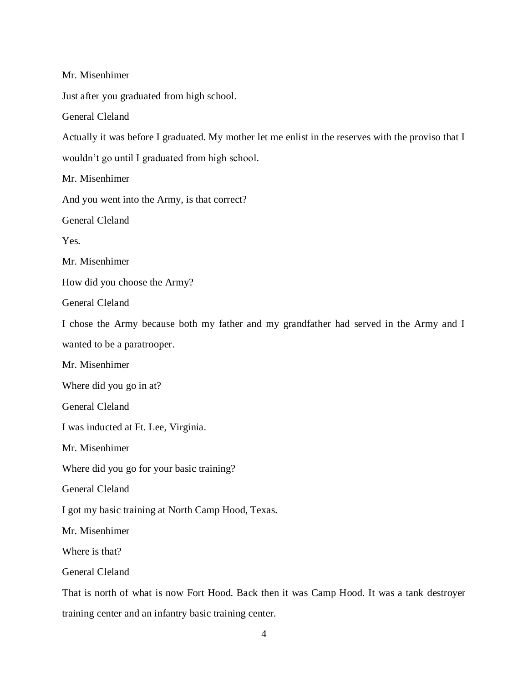Mr. Misenhimer

Just after you graduated from high school.

General Cleland

Actually it was before I graduated. My mother let me enlist in the reserves with the proviso that I

wouldn't go until I graduated from high school.

Mr. Misenhimer

And you went into the Army, is that correct?

General Cleland

Yes.

Mr. Misenhimer

How did you choose the Army?

General Cleland

I chose the Army because both my father and my grandfather had served in the Army and I wanted to be a paratrooper.

Mr. Misenhimer

Where did you go in at?

General Cleland

I was inducted at Ft. Lee, Virginia.

Mr. Misenhimer

Where did you go for your basic training?

General Cleland

I got my basic training at North Camp Hood, Texas.

Mr. Misenhimer

Where is that?

General Cleland

That is north of what is now Fort Hood. Back then it was Camp Hood. It was a tank destroyer training center and an infantry basic training center.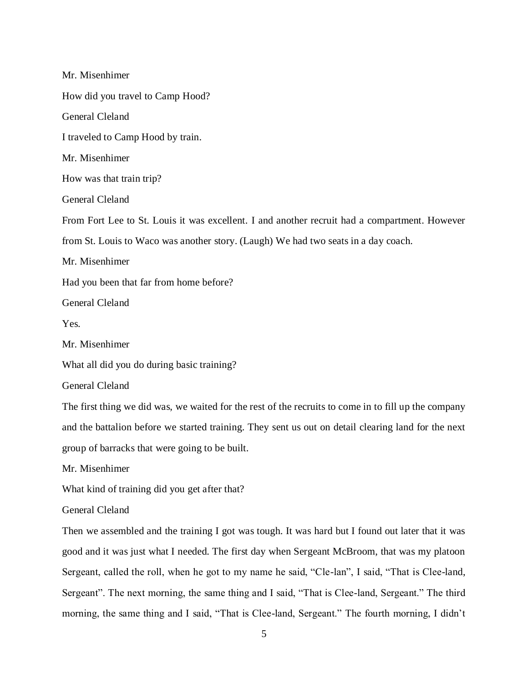Mr. Misenhimer How did you travel to Camp Hood? General Cleland I traveled to Camp Hood by train. Mr. Misenhimer How was that train trip? General Cleland From Fort Lee to St. Louis it was excellent. I and another recruit had a compartment. However from St. Louis to Waco was another story. (Laugh) We had two seats in a day coach. Mr. Misenhimer Had you been that far from home before? General Cleland Yes. Mr. Misenhimer What all did you do during basic training? General Cleland The first thing we did was, we waited for the rest of the recruits to come in to fill up the company and the battalion before we started training. They sent us out on detail clearing land for the next group of barracks that were going to be built. Mr. Misenhimer What kind of training did you get after that? General Cleland Then we assembled and the training I got was tough. It was hard but I found out later that it was good and it was just what I needed. The first day when Sergeant McBroom, that was my platoon Sergeant, called the roll, when he got to my name he said, "Cle-lan", I said, "That is Clee-land, Sergeant". The next morning, the same thing and I said, "That is Clee-land, Sergeant." The third morning, the same thing and I said, "That is Clee-land, Sergeant." The fourth morning, I didn't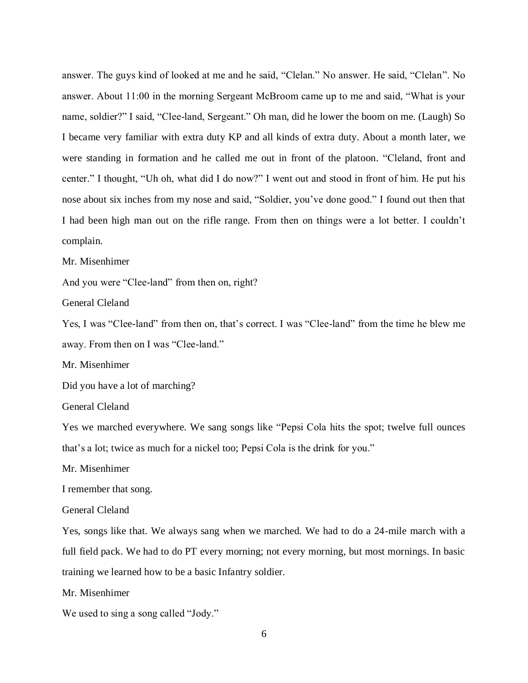answer. The guys kind of looked at me and he said, "Clelan." No answer. He said, "Clelan". No answer. About 11:00 in the morning Sergeant McBroom came up to me and said, "What is your name, soldier?" I said, "Clee-land, Sergeant." Oh man, did he lower the boom on me. (Laugh) So I became very familiar with extra duty KP and all kinds of extra duty. About a month later, we were standing in formation and he called me out in front of the platoon. "Cleland, front and center." I thought, "Uh oh, what did I do now?" I went out and stood in front of him. He put his nose about six inches from my nose and said, "Soldier, you've done good." I found out then that I had been high man out on the rifle range. From then on things were a lot better. I couldn't complain.

#### Mr. Misenhimer

And you were "Clee-land" from then on, right?

General Cleland

Yes, I was "Clee-land" from then on, that's correct. I was "Clee-land" from the time he blew me away. From then on I was "Clee-land."

Mr. Misenhimer

Did you have a lot of marching?

General Cleland

Yes we marched everywhere. We sang songs like "Pepsi Cola hits the spot; twelve full ounces that's a lot; twice as much for a nickel too; Pepsi Cola is the drink for you."

Mr. Misenhimer

I remember that song.

General Cleland

Yes, songs like that. We always sang when we marched. We had to do a 24-mile march with a full field pack. We had to do PT every morning; not every morning, but most mornings. In basic training we learned how to be a basic Infantry soldier.

Mr. Misenhimer

We used to sing a song called "Jody."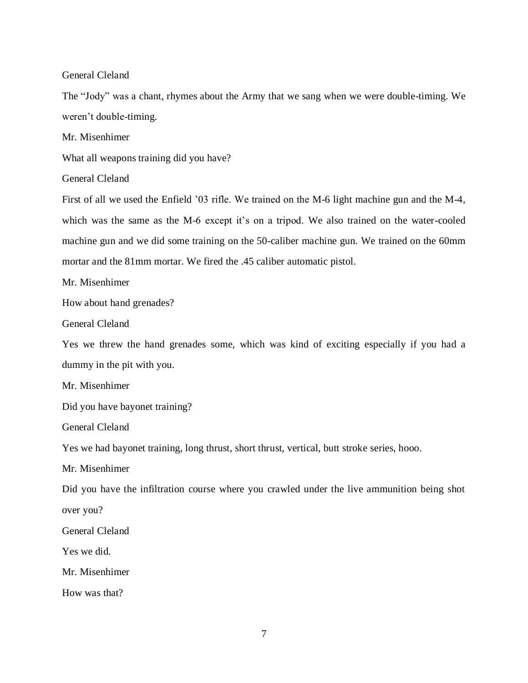The "Jody" was a chant, rhymes about the Army that we sang when we were double-timing. We weren't double-timing.

Mr. Misenhimer

What all weapons training did you have?

General Cleland

First of all we used the Enfield '03 rifle. We trained on the M-6 light machine gun and the M-4, which was the same as the M-6 except it's on a tripod. We also trained on the water-cooled machine gun and we did some training on the 50-caliber machine gun. We trained on the 60mm mortar and the 81mm mortar. We fired the .45 caliber automatic pistol.

Mr. Misenhimer

How about hand grenades?

General Cleland

Yes we threw the hand grenades some, which was kind of exciting especially if you had a dummy in the pit with you.

Mr. Misenhimer

Did you have bayonet training?

General Cleland

Yes we had bayonet training, long thrust, short thrust, vertical, butt stroke series, hooo.

Mr. Misenhimer

Did you have the infiltration course where you crawled under the live ammunition being shot over you?

General Cleland

Yes we did.

Mr. Misenhimer

How was that?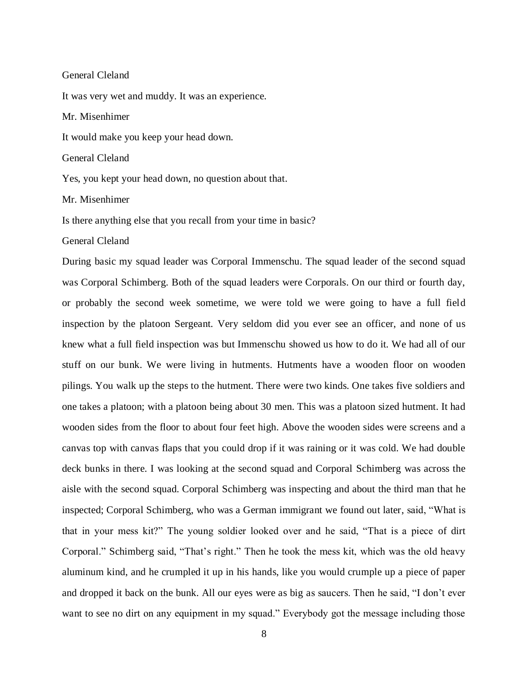It was very wet and muddy. It was an experience.

Mr. Misenhimer

It would make you keep your head down.

General Cleland

Yes, you kept your head down, no question about that.

Mr. Misenhimer

Is there anything else that you recall from your time in basic?

General Cleland

During basic my squad leader was Corporal Immenschu. The squad leader of the second squad was Corporal Schimberg. Both of the squad leaders were Corporals. On our third or fourth day, or probably the second week sometime, we were told we were going to have a full field inspection by the platoon Sergeant. Very seldom did you ever see an officer, and none of us knew what a full field inspection was but Immenschu showed us how to do it. We had all of our stuff on our bunk. We were living in hutments. Hutments have a wooden floor on wooden pilings. You walk up the steps to the hutment. There were two kinds. One takes five soldiers and one takes a platoon; with a platoon being about 30 men. This was a platoon sized hutment. It had wooden sides from the floor to about four feet high. Above the wooden sides were screens and a canvas top with canvas flaps that you could drop if it was raining or it was cold. We had double deck bunks in there. I was looking at the second squad and Corporal Schimberg was across the aisle with the second squad. Corporal Schimberg was inspecting and about the third man that he inspected; Corporal Schimberg, who was a German immigrant we found out later, said, "What is that in your mess kit?" The young soldier looked over and he said, "That is a piece of dirt Corporal." Schimberg said, "That's right." Then he took the mess kit, which was the old heavy aluminum kind, and he crumpled it up in his hands, like you would crumple up a piece of paper and dropped it back on the bunk. All our eyes were as big as saucers. Then he said, "I don't ever want to see no dirt on any equipment in my squad." Everybody got the message including those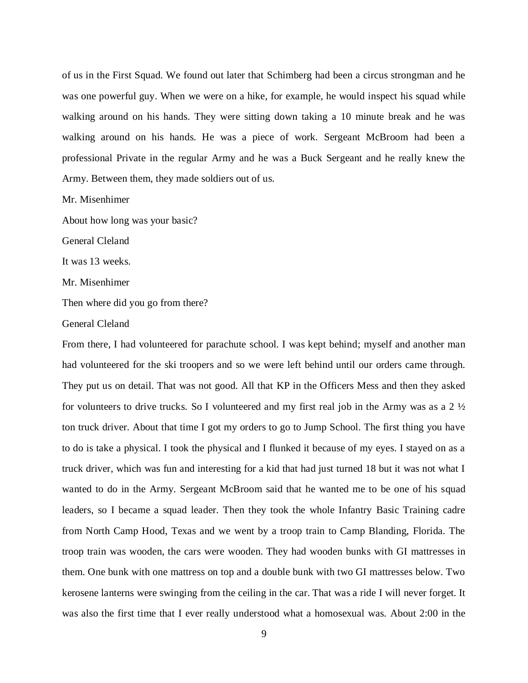of us in the First Squad. We found out later that Schimberg had been a circus strongman and he was one powerful guy. When we were on a hike, for example, he would inspect his squad while walking around on his hands. They were sitting down taking a 10 minute break and he was walking around on his hands. He was a piece of work. Sergeant McBroom had been a professional Private in the regular Army and he was a Buck Sergeant and he really knew the Army. Between them, they made soldiers out of us.

Mr. Misenhimer

About how long was your basic?

General Cleland

It was 13 weeks.

Mr. Misenhimer

Then where did you go from there?

General Cleland

From there, I had volunteered for parachute school. I was kept behind; myself and another man had volunteered for the ski troopers and so we were left behind until our orders came through. They put us on detail. That was not good. All that KP in the Officers Mess and then they asked for volunteers to drive trucks. So I volunteered and my first real job in the Army was as a  $2\frac{1}{2}$ ton truck driver. About that time I got my orders to go to Jump School. The first thing you have to do is take a physical. I took the physical and I flunked it because of my eyes. I stayed on as a truck driver, which was fun and interesting for a kid that had just turned 18 but it was not what I wanted to do in the Army. Sergeant McBroom said that he wanted me to be one of his squad leaders, so I became a squad leader. Then they took the whole Infantry Basic Training cadre from North Camp Hood, Texas and we went by a troop train to Camp Blanding, Florida. The troop train was wooden, the cars were wooden. They had wooden bunks with GI mattresses in them. One bunk with one mattress on top and a double bunk with two GI mattresses below. Two kerosene lanterns were swinging from the ceiling in the car. That was a ride I will never forget. It was also the first time that I ever really understood what a homosexual was. About 2:00 in the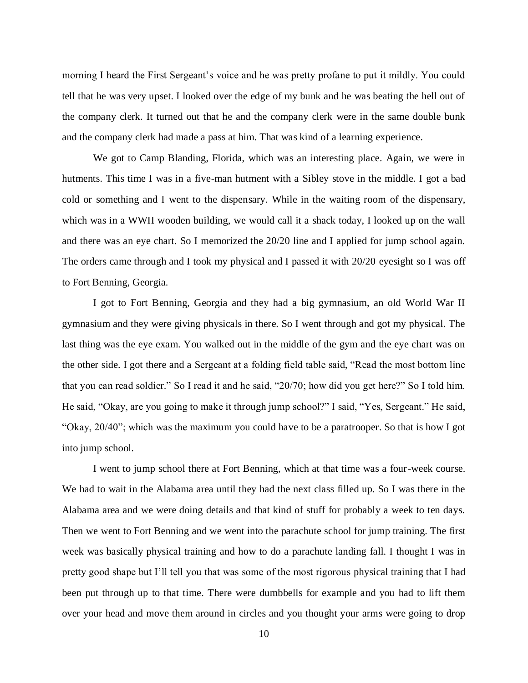morning I heard the First Sergeant's voice and he was pretty profane to put it mildly. You could tell that he was very upset. I looked over the edge of my bunk and he was beating the hell out of the company clerk. It turned out that he and the company clerk were in the same double bunk and the company clerk had made a pass at him. That was kind of a learning experience.

We got to Camp Blanding, Florida, which was an interesting place. Again, we were in hutments. This time I was in a five-man hutment with a Sibley stove in the middle. I got a bad cold or something and I went to the dispensary. While in the waiting room of the dispensary, which was in a WWII wooden building, we would call it a shack today, I looked up on the wall and there was an eye chart. So I memorized the 20/20 line and I applied for jump school again. The orders came through and I took my physical and I passed it with 20/20 eyesight so I was off to Fort Benning, Georgia.

I got to Fort Benning, Georgia and they had a big gymnasium, an old World War II gymnasium and they were giving physicals in there. So I went through and got my physical. The last thing was the eye exam. You walked out in the middle of the gym and the eye chart was on the other side. I got there and a Sergeant at a folding field table said, "Read the most bottom line that you can read soldier." So I read it and he said, "20/70; how did you get here?" So I told him. He said, "Okay, are you going to make it through jump school?" I said, "Yes, Sergeant." He said, "Okay, 20/40"; which was the maximum you could have to be a paratrooper. So that is how I got into jump school.

I went to jump school there at Fort Benning, which at that time was a four-week course. We had to wait in the Alabama area until they had the next class filled up. So I was there in the Alabama area and we were doing details and that kind of stuff for probably a week to ten days. Then we went to Fort Benning and we went into the parachute school for jump training. The first week was basically physical training and how to do a parachute landing fall. I thought I was in pretty good shape but I'll tell you that was some of the most rigorous physical training that I had been put through up to that time. There were dumbbells for example and you had to lift them over your head and move them around in circles and you thought your arms were going to drop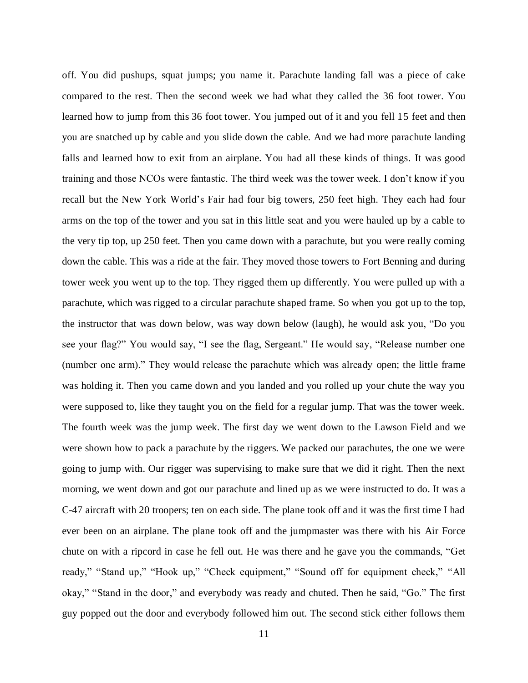off. You did pushups, squat jumps; you name it. Parachute landing fall was a piece of cake compared to the rest. Then the second week we had what they called the 36 foot tower. You learned how to jump from this 36 foot tower. You jumped out of it and you fell 15 feet and then you are snatched up by cable and you slide down the cable. And we had more parachute landing falls and learned how to exit from an airplane. You had all these kinds of things. It was good training and those NCOs were fantastic. The third week was the tower week. I don't know if you recall but the New York World's Fair had four big towers, 250 feet high. They each had four arms on the top of the tower and you sat in this little seat and you were hauled up by a cable to the very tip top, up 250 feet. Then you came down with a parachute, but you were really coming down the cable. This was a ride at the fair. They moved those towers to Fort Benning and during tower week you went up to the top. They rigged them up differently. You were pulled up with a parachute, which was rigged to a circular parachute shaped frame. So when you got up to the top, the instructor that was down below, was way down below (laugh), he would ask you, "Do you see your flag?" You would say, "I see the flag, Sergeant." He would say, "Release number one (number one arm)." They would release the parachute which was already open; the little frame was holding it. Then you came down and you landed and you rolled up your chute the way you were supposed to, like they taught you on the field for a regular jump. That was the tower week. The fourth week was the jump week. The first day we went down to the Lawson Field and we were shown how to pack a parachute by the riggers. We packed our parachutes, the one we were going to jump with. Our rigger was supervising to make sure that we did it right. Then the next morning, we went down and got our parachute and lined up as we were instructed to do. It was a C-47 aircraft with 20 troopers; ten on each side. The plane took off and it was the first time I had ever been on an airplane. The plane took off and the jumpmaster was there with his Air Force chute on with a ripcord in case he fell out. He was there and he gave you the commands, "Get ready," "Stand up," "Hook up," "Check equipment," "Sound off for equipment check," "All okay," "Stand in the door," and everybody was ready and chuted. Then he said, "Go." The first guy popped out the door and everybody followed him out. The second stick either follows them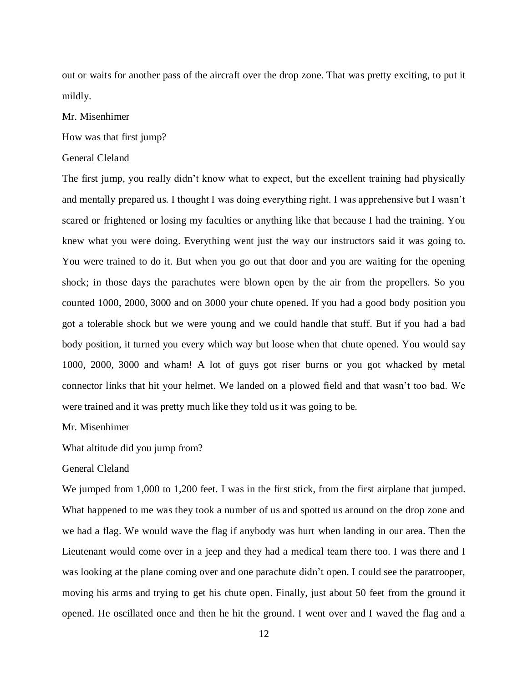out or waits for another pass of the aircraft over the drop zone. That was pretty exciting, to put it mildly.

# Mr. Misenhimer

## How was that first jump?

## General Cleland

The first jump, you really didn't know what to expect, but the excellent training had physically and mentally prepared us. I thought I was doing everything right. I was apprehensive but I wasn't scared or frightened or losing my faculties or anything like that because I had the training. You knew what you were doing. Everything went just the way our instructors said it was going to. You were trained to do it. But when you go out that door and you are waiting for the opening shock; in those days the parachutes were blown open by the air from the propellers. So you counted 1000, 2000, 3000 and on 3000 your chute opened. If you had a good body position you got a tolerable shock but we were young and we could handle that stuff. But if you had a bad body position, it turned you every which way but loose when that chute opened. You would say 1000, 2000, 3000 and wham! A lot of guys got riser burns or you got whacked by metal connector links that hit your helmet. We landed on a plowed field and that wasn't too bad. We were trained and it was pretty much like they told us it was going to be.

## Mr. Misenhimer

What altitude did you jump from?

## General Cleland

We jumped from 1,000 to 1,200 feet. I was in the first stick, from the first airplane that jumped. What happened to me was they took a number of us and spotted us around on the drop zone and we had a flag. We would wave the flag if anybody was hurt when landing in our area. Then the Lieutenant would come over in a jeep and they had a medical team there too. I was there and I was looking at the plane coming over and one parachute didn't open. I could see the paratrooper, moving his arms and trying to get his chute open. Finally, just about 50 feet from the ground it opened. He oscillated once and then he hit the ground. I went over and I waved the flag and a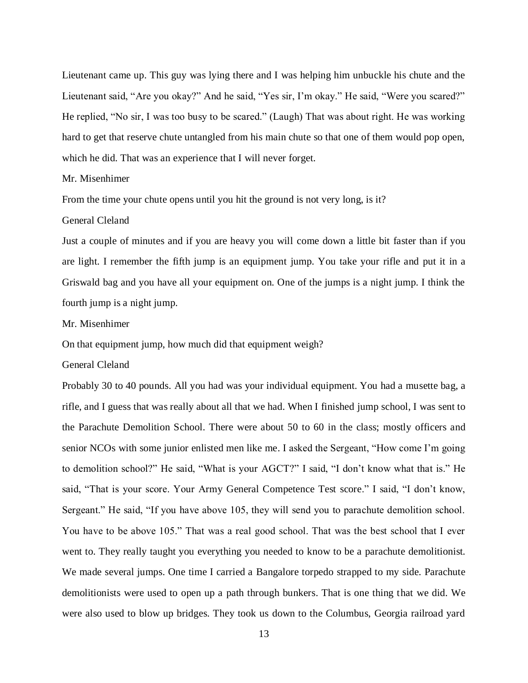Lieutenant came up. This guy was lying there and I was helping him unbuckle his chute and the Lieutenant said, "Are you okay?" And he said, "Yes sir, I'm okay." He said, "Were you scared?" He replied, "No sir, I was too busy to be scared." (Laugh) That was about right. He was working hard to get that reserve chute untangled from his main chute so that one of them would pop open, which he did. That was an experience that I will never forget.

## Mr. Misenhimer

From the time your chute opens until you hit the ground is not very long, is it?

## General Cleland

Just a couple of minutes and if you are heavy you will come down a little bit faster than if you are light. I remember the fifth jump is an equipment jump. You take your rifle and put it in a Griswald bag and you have all your equipment on. One of the jumps is a night jump. I think the fourth jump is a night jump.

#### Mr. Misenhimer

On that equipment jump, how much did that equipment weigh?

## General Cleland

Probably 30 to 40 pounds. All you had was your individual equipment. You had a musette bag, a rifle, and I guess that was really about all that we had. When I finished jump school, I was sent to the Parachute Demolition School. There were about 50 to 60 in the class; mostly officers and senior NCOs with some junior enlisted men like me. I asked the Sergeant, "How come I'm going to demolition school?" He said, "What is your AGCT?" I said, "I don't know what that is." He said, "That is your score. Your Army General Competence Test score." I said, "I don't know, Sergeant." He said, "If you have above 105, they will send you to parachute demolition school. You have to be above 105." That was a real good school. That was the best school that I ever went to. They really taught you everything you needed to know to be a parachute demolitionist. We made several jumps. One time I carried a Bangalore torpedo strapped to my side. Parachute demolitionists were used to open up a path through bunkers. That is one thing that we did. We were also used to blow up bridges. They took us down to the Columbus, Georgia railroad yard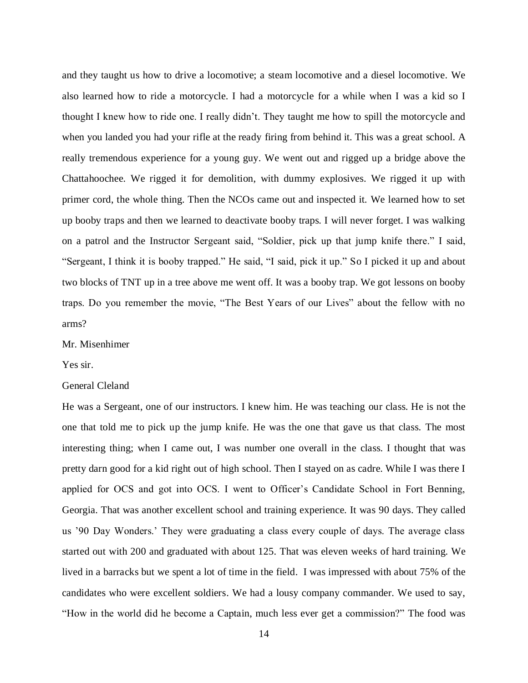and they taught us how to drive a locomotive; a steam locomotive and a diesel locomotive. We also learned how to ride a motorcycle. I had a motorcycle for a while when I was a kid so I thought I knew how to ride one. I really didn't. They taught me how to spill the motorcycle and when you landed you had your rifle at the ready firing from behind it. This was a great school. A really tremendous experience for a young guy. We went out and rigged up a bridge above the Chattahoochee. We rigged it for demolition, with dummy explosives. We rigged it up with primer cord, the whole thing. Then the NCOs came out and inspected it. We learned how to set up booby traps and then we learned to deactivate booby traps. I will never forget. I was walking on a patrol and the Instructor Sergeant said, "Soldier, pick up that jump knife there." I said, "Sergeant, I think it is booby trapped." He said, "I said, pick it up." So I picked it up and about two blocks of TNT up in a tree above me went off. It was a booby trap. We got lessons on booby traps. Do you remember the movie, "The Best Years of our Lives" about the fellow with no arms?

## Mr. Misenhimer

## Yes sir.

## General Cleland

He was a Sergeant, one of our instructors. I knew him. He was teaching our class. He is not the one that told me to pick up the jump knife. He was the one that gave us that class. The most interesting thing; when I came out, I was number one overall in the class. I thought that was pretty darn good for a kid right out of high school. Then I stayed on as cadre. While I was there I applied for OCS and got into OCS. I went to Officer's Candidate School in Fort Benning, Georgia. That was another excellent school and training experience. It was 90 days. They called us '90 Day Wonders.' They were graduating a class every couple of days. The average class started out with 200 and graduated with about 125. That was eleven weeks of hard training. We lived in a barracks but we spent a lot of time in the field. I was impressed with about 75% of the candidates who were excellent soldiers. We had a lousy company commander. We used to say, "How in the world did he become a Captain, much less ever get a commission?" The food was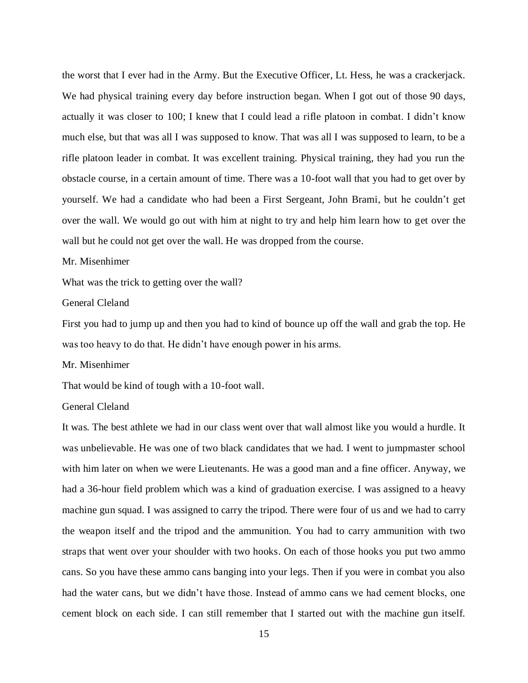the worst that I ever had in the Army. But the Executive Officer, Lt. Hess, he was a crackerjack. We had physical training every day before instruction began. When I got out of those 90 days, actually it was closer to 100; I knew that I could lead a rifle platoon in combat. I didn't know much else, but that was all I was supposed to know. That was all I was supposed to learn, to be a rifle platoon leader in combat. It was excellent training. Physical training, they had you run the obstacle course, in a certain amount of time. There was a 10-foot wall that you had to get over by yourself. We had a candidate who had been a First Sergeant, John Brami, but he couldn't get over the wall. We would go out with him at night to try and help him learn how to get over the wall but he could not get over the wall. He was dropped from the course.

#### Mr. Misenhimer

What was the trick to getting over the wall?

## General Cleland

First you had to jump up and then you had to kind of bounce up off the wall and grab the top. He was too heavy to do that. He didn't have enough power in his arms.

Mr. Misenhimer

That would be kind of tough with a 10-foot wall.

## General Cleland

It was. The best athlete we had in our class went over that wall almost like you would a hurdle. It was unbelievable. He was one of two black candidates that we had. I went to jumpmaster school with him later on when we were Lieutenants. He was a good man and a fine officer. Anyway, we had a 36-hour field problem which was a kind of graduation exercise. I was assigned to a heavy machine gun squad. I was assigned to carry the tripod. There were four of us and we had to carry the weapon itself and the tripod and the ammunition. You had to carry ammunition with two straps that went over your shoulder with two hooks. On each of those hooks you put two ammo cans. So you have these ammo cans banging into your legs. Then if you were in combat you also had the water cans, but we didn't have those. Instead of ammo cans we had cement blocks, one cement block on each side. I can still remember that I started out with the machine gun itself.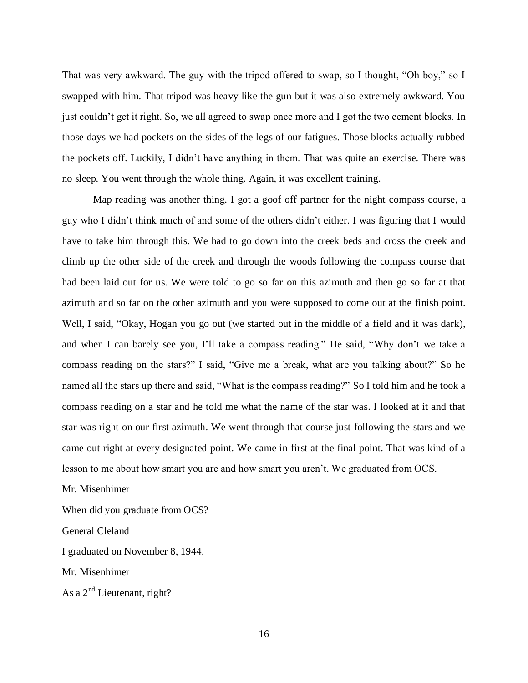That was very awkward. The guy with the tripod offered to swap, so I thought, "Oh boy," so I swapped with him. That tripod was heavy like the gun but it was also extremely awkward. You just couldn't get it right. So, we all agreed to swap once more and I got the two cement blocks. In those days we had pockets on the sides of the legs of our fatigues. Those blocks actually rubbed the pockets off. Luckily, I didn't have anything in them. That was quite an exercise. There was no sleep. You went through the whole thing. Again, it was excellent training.

Map reading was another thing. I got a goof off partner for the night compass course, a guy who I didn't think much of and some of the others didn't either. I was figuring that I would have to take him through this. We had to go down into the creek beds and cross the creek and climb up the other side of the creek and through the woods following the compass course that had been laid out for us. We were told to go so far on this azimuth and then go so far at that azimuth and so far on the other azimuth and you were supposed to come out at the finish point. Well, I said, "Okay, Hogan you go out (we started out in the middle of a field and it was dark), and when I can barely see you, I'll take a compass reading." He said, "Why don't we take a compass reading on the stars?" I said, "Give me a break, what are you talking about?" So he named all the stars up there and said, "What is the compass reading?" So I told him and he took a compass reading on a star and he told me what the name of the star was. I looked at it and that star was right on our first azimuth. We went through that course just following the stars and we came out right at every designated point. We came in first at the final point. That was kind of a lesson to me about how smart you are and how smart you aren't. We graduated from OCS.

Mr. Misenhimer

When did you graduate from OCS?

General Cleland

I graduated on November 8, 1944.

Mr. Misenhimer

As a  $2<sup>nd</sup>$  Lieutenant, right?

16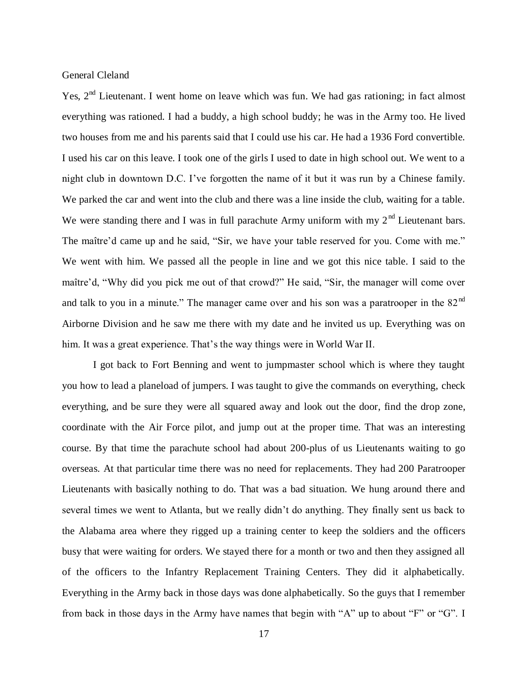Yes. 2<sup>nd</sup> Lieutenant. I went home on leave which was fun. We had gas rationing; in fact almost everything was rationed. I had a buddy, a high school buddy; he was in the Army too. He lived two houses from me and his parents said that I could use his car. He had a 1936 Ford convertible. I used his car on this leave. I took one of the girls I used to date in high school out. We went to a night club in downtown D.C. I've forgotten the name of it but it was run by a Chinese family. We parked the car and went into the club and there was a line inside the club, waiting for a table. We were standing there and I was in full parachute Army uniform with my  $2<sup>nd</sup>$  Lieutenant bars. The maître'd came up and he said, "Sir, we have your table reserved for you. Come with me." We went with him. We passed all the people in line and we got this nice table. I said to the maître'd, "Why did you pick me out of that crowd?" He said, "Sir, the manager will come over and talk to you in a minute." The manager came over and his son was a paratrooper in the  $82<sup>nd</sup>$ Airborne Division and he saw me there with my date and he invited us up. Everything was on him. It was a great experience. That's the way things were in World War II.

I got back to Fort Benning and went to jumpmaster school which is where they taught you how to lead a planeload of jumpers. I was taught to give the commands on everything, check everything, and be sure they were all squared away and look out the door, find the drop zone, coordinate with the Air Force pilot, and jump out at the proper time. That was an interesting course. By that time the parachute school had about 200-plus of us Lieutenants waiting to go overseas. At that particular time there was no need for replacements. They had 200 Paratrooper Lieutenants with basically nothing to do. That was a bad situation. We hung around there and several times we went to Atlanta, but we really didn't do anything. They finally sent us back to the Alabama area where they rigged up a training center to keep the soldiers and the officers busy that were waiting for orders. We stayed there for a month or two and then they assigned all of the officers to the Infantry Replacement Training Centers. They did it alphabetically. Everything in the Army back in those days was done alphabetically. So the guys that I remember from back in those days in the Army have names that begin with "A" up to about "F" or "G". I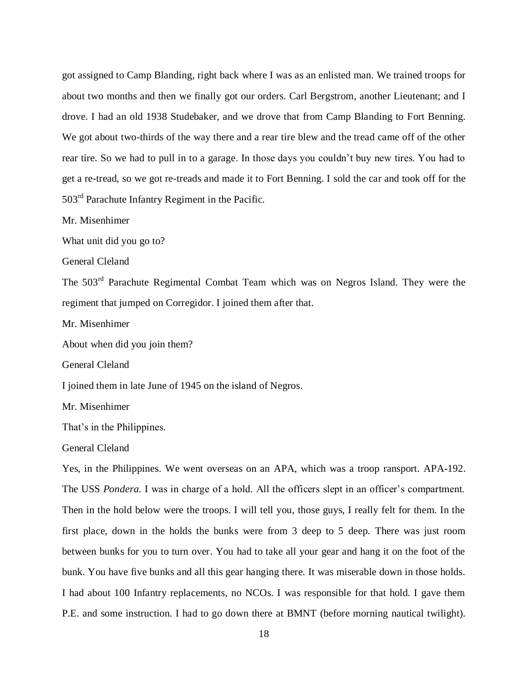got assigned to Camp Blanding, right back where I was as an enlisted man. We trained troops for about two months and then we finally got our orders. Carl Bergstrom, another Lieutenant; and I drove. I had an old 1938 Studebaker, and we drove that from Camp Blanding to Fort Benning. We got about two-thirds of the way there and a rear tire blew and the tread came off of the other rear tire. So we had to pull in to a garage. In those days you couldn't buy new tires. You had to get a re-tread, so we got re-treads and made it to Fort Benning. I sold the car and took off for the 503rd Parachute Infantry Regiment in the Pacific.

Mr. Misenhimer

What unit did you go to?

General Cleland

The 503rd Parachute Regimental Combat Team which was on Negros Island. They were the regiment that jumped on Corregidor. I joined them after that.

Mr. Misenhimer

About when did you join them?

General Cleland

I joined them in late June of 1945 on the island of Negros.

Mr. Misenhimer

That's in the Philippines.

General Cleland

Yes, in the Philippines. We went overseas on an APA, which was a troop ransport. APA-192. The USS *Pondera.* I was in charge of a hold. All the officers slept in an officer's compartment. Then in the hold below were the troops. I will tell you, those guys, I really felt for them. In the first place, down in the holds the bunks were from 3 deep to 5 deep. There was just room between bunks for you to turn over. You had to take all your gear and hang it on the foot of the bunk. You have five bunks and all this gear hanging there. It was miserable down in those holds. I had about 100 Infantry replacements, no NCOs. I was responsible for that hold. I gave them P.E. and some instruction. I had to go down there at BMNT (before morning nautical twilight).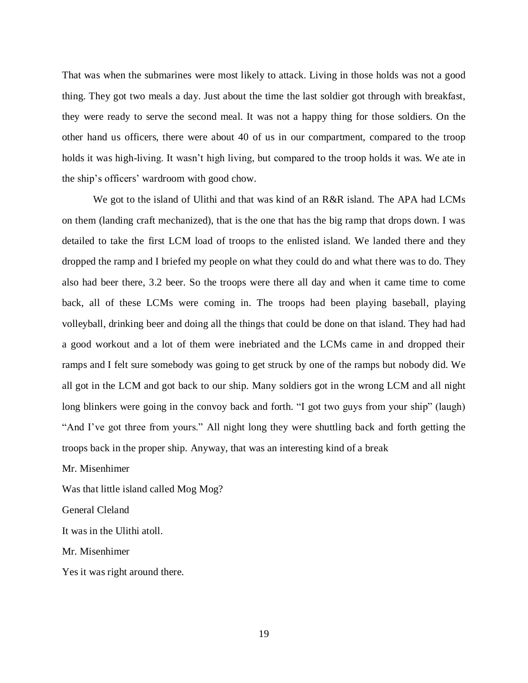That was when the submarines were most likely to attack. Living in those holds was not a good thing. They got two meals a day. Just about the time the last soldier got through with breakfast, they were ready to serve the second meal. It was not a happy thing for those soldiers. On the other hand us officers, there were about 40 of us in our compartment, compared to the troop holds it was high-living. It wasn't high living, but compared to the troop holds it was. We ate in the ship's officers' wardroom with good chow.

We got to the island of Ulithi and that was kind of an R&R island. The APA had LCMs on them (landing craft mechanized), that is the one that has the big ramp that drops down. I was detailed to take the first LCM load of troops to the enlisted island. We landed there and they dropped the ramp and I briefed my people on what they could do and what there was to do. They also had beer there, 3.2 beer. So the troops were there all day and when it came time to come back, all of these LCMs were coming in. The troops had been playing baseball, playing volleyball, drinking beer and doing all the things that could be done on that island. They had had a good workout and a lot of them were inebriated and the LCMs came in and dropped their ramps and I felt sure somebody was going to get struck by one of the ramps but nobody did. We all got in the LCM and got back to our ship. Many soldiers got in the wrong LCM and all night long blinkers were going in the convoy back and forth. "I got two guys from your ship" (laugh) "And I've got three from yours." All night long they were shuttling back and forth getting the troops back in the proper ship. Anyway, that was an interesting kind of a break

Mr. Misenhimer

Was that little island called Mog Mog?

General Cleland

It was in the Ulithi atoll.

Mr. Misenhimer

Yes it was right around there.

19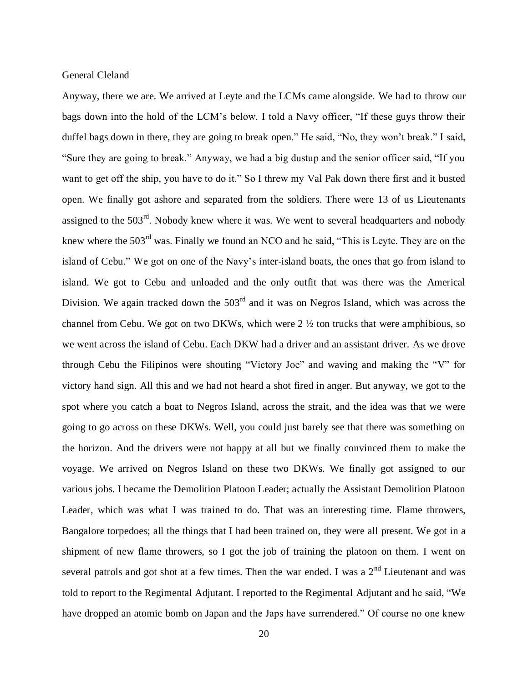Anyway, there we are. We arrived at Leyte and the LCMs came alongside. We had to throw our bags down into the hold of the LCM's below. I told a Navy officer, "If these guys throw their duffel bags down in there, they are going to break open." He said, "No, they won't break." I said, "Sure they are going to break." Anyway, we had a big dustup and the senior officer said, "If you want to get off the ship, you have to do it." So I threw my Val Pak down there first and it busted open. We finally got ashore and separated from the soldiers. There were 13 of us Lieutenants assigned to the  $503<sup>rd</sup>$ . Nobody knew where it was. We went to several headquarters and nobody knew where the 503<sup>rd</sup> was. Finally we found an NCO and he said, "This is Leyte. They are on the island of Cebu." We got on one of the Navy's inter-island boats, the ones that go from island to island. We got to Cebu and unloaded and the only outfit that was there was the Americal Division. We again tracked down the  $503<sup>rd</sup>$  and it was on Negros Island, which was across the channel from Cebu. We got on two DKWs, which were 2 ½ ton trucks that were amphibious, so we went across the island of Cebu. Each DKW had a driver and an assistant driver. As we drove through Cebu the Filipinos were shouting "Victory Joe" and waving and making the "V" for victory hand sign. All this and we had not heard a shot fired in anger. But anyway, we got to the spot where you catch a boat to Negros Island, across the strait, and the idea was that we were going to go across on these DKWs. Well, you could just barely see that there was something on the horizon. And the drivers were not happy at all but we finally convinced them to make the voyage. We arrived on Negros Island on these two DKWs. We finally got assigned to our various jobs. I became the Demolition Platoon Leader; actually the Assistant Demolition Platoon Leader, which was what I was trained to do. That was an interesting time. Flame throwers, Bangalore torpedoes; all the things that I had been trained on, they were all present. We got in a shipment of new flame throwers, so I got the job of training the platoon on them. I went on several patrols and got shot at a few times. Then the war ended. I was a  $2<sup>nd</sup>$  Lieutenant and was told to report to the Regimental Adjutant. I reported to the Regimental Adjutant and he said, "We have dropped an atomic bomb on Japan and the Japs have surrendered." Of course no one knew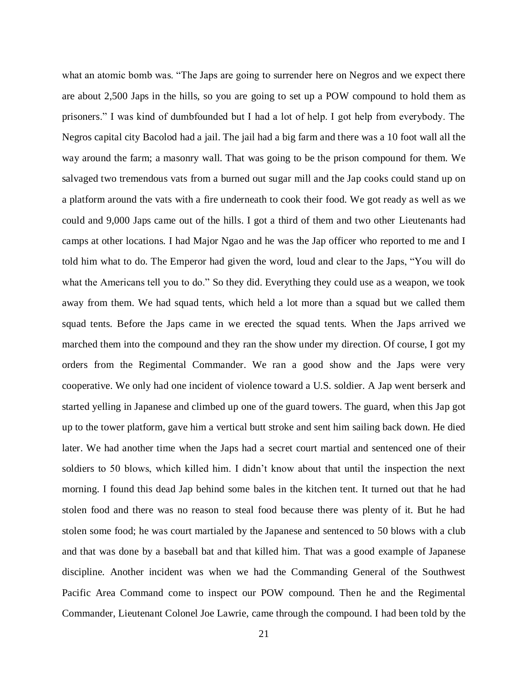what an atomic bomb was. "The Japs are going to surrender here on Negros and we expect there are about 2,500 Japs in the hills, so you are going to set up a POW compound to hold them as prisoners." I was kind of dumbfounded but I had a lot of help. I got help from everybody. The Negros capital city Bacolod had a jail. The jail had a big farm and there was a 10 foot wall all the way around the farm; a masonry wall. That was going to be the prison compound for them. We salvaged two tremendous vats from a burned out sugar mill and the Jap cooks could stand up on a platform around the vats with a fire underneath to cook their food. We got ready as well as we could and 9,000 Japs came out of the hills. I got a third of them and two other Lieutenants had camps at other locations. I had Major Ngao and he was the Jap officer who reported to me and I told him what to do. The Emperor had given the word, loud and clear to the Japs, "You will do what the Americans tell you to do." So they did. Everything they could use as a weapon, we took away from them. We had squad tents, which held a lot more than a squad but we called them squad tents. Before the Japs came in we erected the squad tents. When the Japs arrived we marched them into the compound and they ran the show under my direction. Of course, I got my orders from the Regimental Commander. We ran a good show and the Japs were very cooperative. We only had one incident of violence toward a U.S. soldier. A Jap went berserk and started yelling in Japanese and climbed up one of the guard towers. The guard, when this Jap got up to the tower platform, gave him a vertical butt stroke and sent him sailing back down. He died later. We had another time when the Japs had a secret court martial and sentenced one of their soldiers to 50 blows, which killed him. I didn't know about that until the inspection the next morning. I found this dead Jap behind some bales in the kitchen tent. It turned out that he had stolen food and there was no reason to steal food because there was plenty of it. But he had stolen some food; he was court martialed by the Japanese and sentenced to 50 blows with a club and that was done by a baseball bat and that killed him. That was a good example of Japanese discipline. Another incident was when we had the Commanding General of the Southwest Pacific Area Command come to inspect our POW compound. Then he and the Regimental Commander, Lieutenant Colonel Joe Lawrie, came through the compound. I had been told by the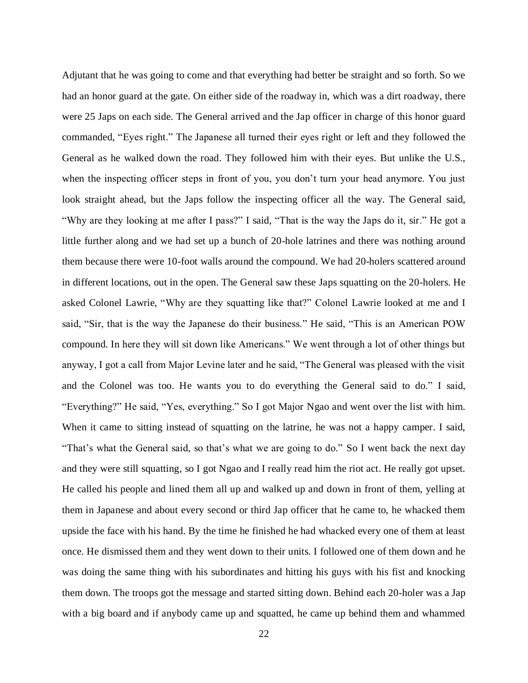Adjutant that he was going to come and that everything had better be straight and so forth. So we had an honor guard at the gate. On either side of the roadway in, which was a dirt roadway, there were 25 Japs on each side. The General arrived and the Jap officer in charge of this honor guard commanded, "Eyes right." The Japanese all turned their eyes right or left and they followed the General as he walked down the road. They followed him with their eyes. But unlike the U.S., when the inspecting officer steps in front of you, you don't turn your head anymore. You just look straight ahead, but the Japs follow the inspecting officer all the way. The General said, "Why are they looking at me after I pass?" I said, "That is the way the Japs do it, sir." He got a little further along and we had set up a bunch of 20-hole latrines and there was nothing around them because there were 10-foot walls around the compound. We had 20-holers scattered around in different locations, out in the open. The General saw these Japs squatting on the 20-holers. He asked Colonel Lawrie, "Why are they squatting like that?" Colonel Lawrie looked at me and I said, "Sir, that is the way the Japanese do their business." He said, "This is an American POW compound. In here they will sit down like Americans." We went through a lot of other things but anyway, I got a call from Major Levine later and he said, "The General was pleased with the visit and the Colonel was too. He wants you to do everything the General said to do." I said, "Everything?" He said, "Yes, everything." So I got Major Ngao and went over the list with him. When it came to sitting instead of squatting on the latrine, he was not a happy camper. I said, "That's what the General said, so that's what we are going to do." So I went back the next day and they were still squatting, so I got Ngao and I really read him the riot act. He really got upset. He called his people and lined them all up and walked up and down in front of them, yelling at them in Japanese and about every second or third Jap officer that he came to, he whacked them upside the face with his hand. By the time he finished he had whacked every one of them at least once. He dismissed them and they went down to their units. I followed one of them down and he was doing the same thing with his subordinates and hitting his guys with his fist and knocking them down. The troops got the message and started sitting down. Behind each 20-holer was a Jap with a big board and if anybody came up and squatted, he came up behind them and whammed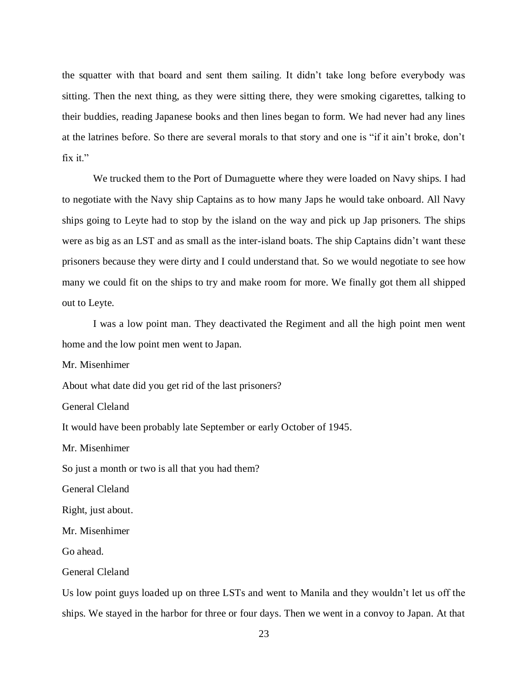the squatter with that board and sent them sailing. It didn't take long before everybody was sitting. Then the next thing, as they were sitting there, they were smoking cigarettes, talking to their buddies, reading Japanese books and then lines began to form. We had never had any lines at the latrines before. So there are several morals to that story and one is "if it ain't broke, don't fix it."

We trucked them to the Port of Dumaguette where they were loaded on Navy ships. I had to negotiate with the Navy ship Captains as to how many Japs he would take onboard. All Navy ships going to Leyte had to stop by the island on the way and pick up Jap prisoners. The ships were as big as an LST and as small as the inter-island boats. The ship Captains didn't want these prisoners because they were dirty and I could understand that. So we would negotiate to see how many we could fit on the ships to try and make room for more. We finally got them all shipped out to Leyte.

I was a low point man. They deactivated the Regiment and all the high point men went home and the low point men went to Japan.

Mr. Misenhimer

About what date did you get rid of the last prisoners?

General Cleland

It would have been probably late September or early October of 1945.

Mr. Misenhimer

So just a month or two is all that you had them?

General Cleland

Right, just about.

Mr. Misenhimer

Go ahead.

General Cleland

Us low point guys loaded up on three LSTs and went to Manila and they wouldn't let us off the ships. We stayed in the harbor for three or four days. Then we went in a convoy to Japan. At that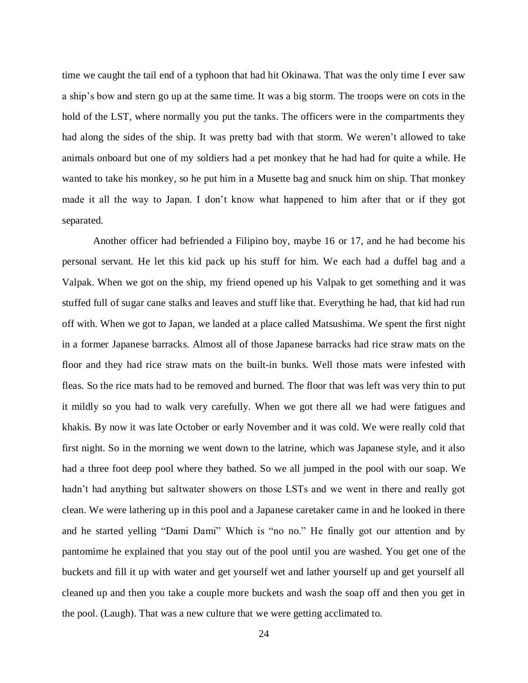time we caught the tail end of a typhoon that had hit Okinawa. That was the only time I ever saw a ship's bow and stern go up at the same time. It was a big storm. The troops were on cots in the hold of the LST, where normally you put the tanks. The officers were in the compartments they had along the sides of the ship. It was pretty bad with that storm. We weren't allowed to take animals onboard but one of my soldiers had a pet monkey that he had had for quite a while. He wanted to take his monkey, so he put him in a Musette bag and snuck him on ship. That monkey made it all the way to Japan. I don't know what happened to him after that or if they got separated.

Another officer had befriended a Filipino boy, maybe 16 or 17, and he had become his personal servant. He let this kid pack up his stuff for him. We each had a duffel bag and a Valpak. When we got on the ship, my friend opened up his Valpak to get something and it was stuffed full of sugar cane stalks and leaves and stuff like that. Everything he had, that kid had run off with. When we got to Japan, we landed at a place called Matsushima. We spent the first night in a former Japanese barracks. Almost all of those Japanese barracks had rice straw mats on the floor and they had rice straw mats on the built-in bunks. Well those mats were infested with fleas. So the rice mats had to be removed and burned. The floor that was left was very thin to put it mildly so you had to walk very carefully. When we got there all we had were fatigues and khakis. By now it was late October or early November and it was cold. We were really cold that first night. So in the morning we went down to the latrine, which was Japanese style, and it also had a three foot deep pool where they bathed. So we all jumped in the pool with our soap. We hadn't had anything but saltwater showers on those LSTs and we went in there and really got clean. We were lathering up in this pool and a Japanese caretaker came in and he looked in there and he started yelling "Dami Dami" Which is "no no." He finally got our attention and by pantomime he explained that you stay out of the pool until you are washed. You get one of the buckets and fill it up with water and get yourself wet and lather yourself up and get yourself all cleaned up and then you take a couple more buckets and wash the soap off and then you get in the pool. (Laugh). That was a new culture that we were getting acclimated to.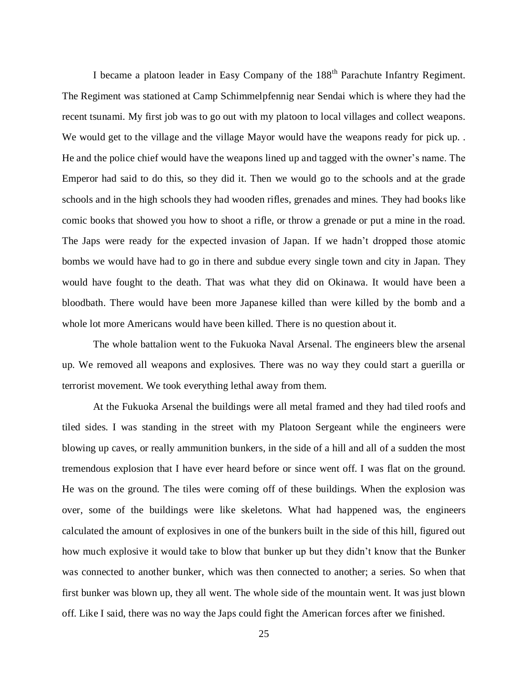I became a platoon leader in Easy Company of the 188<sup>th</sup> Parachute Infantry Regiment. The Regiment was stationed at Camp Schimmelpfennig near Sendai which is where they had the recent tsunami. My first job was to go out with my platoon to local villages and collect weapons. We would get to the village and the village Mayor would have the weapons ready for pick up. . He and the police chief would have the weapons lined up and tagged with the owner's name. The Emperor had said to do this, so they did it. Then we would go to the schools and at the grade schools and in the high schools they had wooden rifles, grenades and mines. They had books like comic books that showed you how to shoot a rifle, or throw a grenade or put a mine in the road. The Japs were ready for the expected invasion of Japan. If we hadn't dropped those atomic bombs we would have had to go in there and subdue every single town and city in Japan. They would have fought to the death. That was what they did on Okinawa. It would have been a bloodbath. There would have been more Japanese killed than were killed by the bomb and a whole lot more Americans would have been killed. There is no question about it.

The whole battalion went to the Fukuoka Naval Arsenal. The engineers blew the arsenal up. We removed all weapons and explosives. There was no way they could start a guerilla or terrorist movement. We took everything lethal away from them.

At the Fukuoka Arsenal the buildings were all metal framed and they had tiled roofs and tiled sides. I was standing in the street with my Platoon Sergeant while the engineers were blowing up caves, or really ammunition bunkers, in the side of a hill and all of a sudden the most tremendous explosion that I have ever heard before or since went off. I was flat on the ground. He was on the ground. The tiles were coming off of these buildings. When the explosion was over, some of the buildings were like skeletons. What had happened was, the engineers calculated the amount of explosives in one of the bunkers built in the side of this hill, figured out how much explosive it would take to blow that bunker up but they didn't know that the Bunker was connected to another bunker, which was then connected to another; a series. So when that first bunker was blown up, they all went. The whole side of the mountain went. It was just blown off. Like I said, there was no way the Japs could fight the American forces after we finished.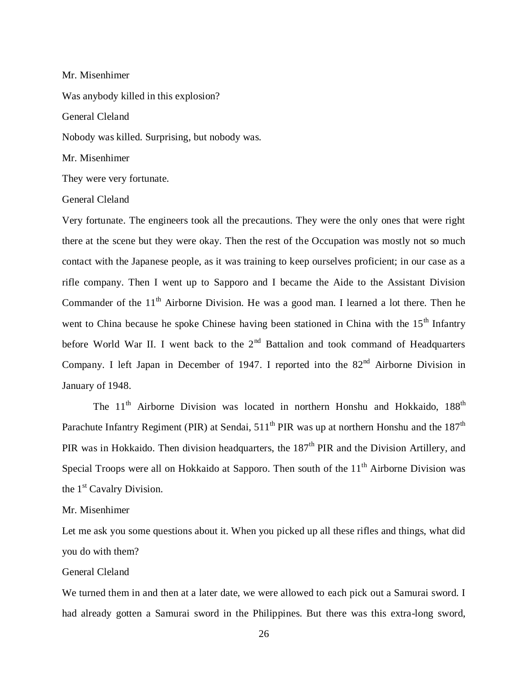#### Mr. Misenhimer

Was anybody killed in this explosion?

General Cleland

Nobody was killed. Surprising, but nobody was.

Mr. Misenhimer

They were very fortunate.

## General Cleland

Very fortunate. The engineers took all the precautions. They were the only ones that were right there at the scene but they were okay. Then the rest of the Occupation was mostly not so much contact with the Japanese people, as it was training to keep ourselves proficient; in our case as a rifle company. Then I went up to Sapporo and I became the Aide to the Assistant Division Commander of the  $11<sup>th</sup>$  Airborne Division. He was a good man. I learned a lot there. Then he went to China because he spoke Chinese having been stationed in China with the 15<sup>th</sup> Infantry before World War II. I went back to the  $2<sup>nd</sup>$  Battalion and took command of Headquarters Company. I left Japan in December of 1947. I reported into the 82<sup>nd</sup> Airborne Division in January of 1948.

The  $11<sup>th</sup>$  Airborne Division was located in northern Honshu and Hokkaido,  $188<sup>th</sup>$ Parachute Infantry Regiment (PIR) at Sendai,  $511<sup>th</sup>$  PIR was up at northern Honshu and the  $187<sup>th</sup>$ PIR was in Hokkaido. Then division headquarters, the 187<sup>th</sup> PIR and the Division Artillery, and Special Troops were all on Hokkaido at Sapporo. Then south of the  $11<sup>th</sup>$  Airborne Division was the 1<sup>st</sup> Cavalry Division.

## Mr. Misenhimer

Let me ask you some questions about it. When you picked up all these rifles and things, what did you do with them?

## General Cleland

We turned them in and then at a later date, we were allowed to each pick out a Samurai sword. I had already gotten a Samurai sword in the Philippines. But there was this extra-long sword,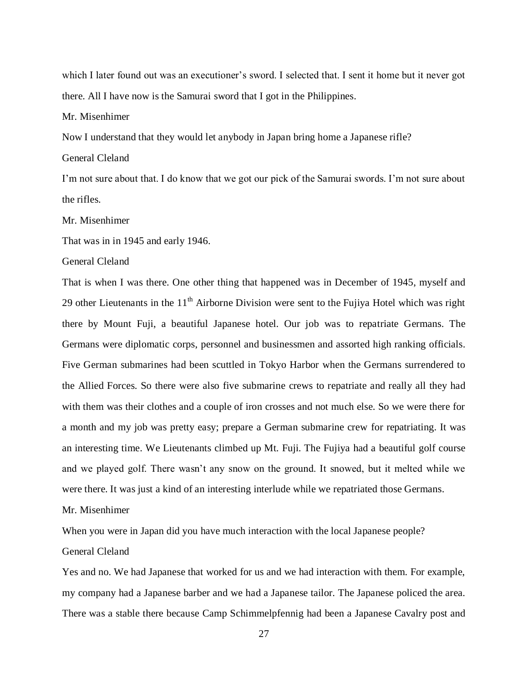which I later found out was an executioner's sword. I selected that. I sent it home but it never got there. All I have now is the Samurai sword that I got in the Philippines.

Mr. Misenhimer

Now I understand that they would let anybody in Japan bring home a Japanese rifle?

General Cleland

I'm not sure about that. I do know that we got our pick of the Samurai swords. I'm not sure about the rifles.

Mr. Misenhimer

That was in in 1945 and early 1946.

General Cleland

That is when I was there. One other thing that happened was in December of 1945, myself and 29 other Lieutenants in the  $11<sup>th</sup>$  Airborne Division were sent to the Fujiya Hotel which was right there by Mount Fuji, a beautiful Japanese hotel. Our job was to repatriate Germans. The Germans were diplomatic corps, personnel and businessmen and assorted high ranking officials. Five German submarines had been scuttled in Tokyo Harbor when the Germans surrendered to the Allied Forces. So there were also five submarine crews to repatriate and really all they had with them was their clothes and a couple of iron crosses and not much else. So we were there for a month and my job was pretty easy; prepare a German submarine crew for repatriating. It was an interesting time. We Lieutenants climbed up Mt. Fuji. The Fujiya had a beautiful golf course and we played golf. There wasn't any snow on the ground. It snowed, but it melted while we were there. It was just a kind of an interesting interlude while we repatriated those Germans.

Mr. Misenhimer

When you were in Japan did you have much interaction with the local Japanese people?

# General Cleland

Yes and no. We had Japanese that worked for us and we had interaction with them. For example, my company had a Japanese barber and we had a Japanese tailor. The Japanese policed the area. There was a stable there because Camp Schimmelpfennig had been a Japanese Cavalry post and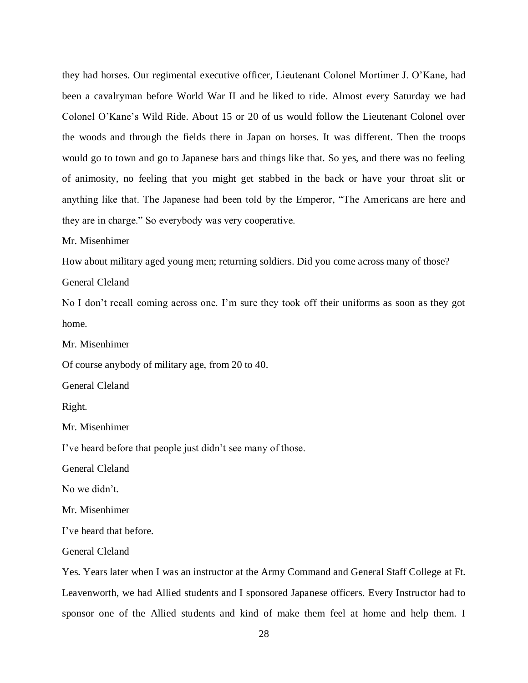they had horses. Our regimental executive officer, Lieutenant Colonel Mortimer J. O'Kane, had been a cavalryman before World War II and he liked to ride. Almost every Saturday we had Colonel O'Kane's Wild Ride. About 15 or 20 of us would follow the Lieutenant Colonel over the woods and through the fields there in Japan on horses. It was different. Then the troops would go to town and go to Japanese bars and things like that. So yes, and there was no feeling of animosity, no feeling that you might get stabbed in the back or have your throat slit or anything like that. The Japanese had been told by the Emperor, "The Americans are here and they are in charge." So everybody was very cooperative.

Mr. Misenhimer

How about military aged young men; returning soldiers. Did you come across many of those?

General Cleland

No I don't recall coming across one. I'm sure they took off their uniforms as soon as they got home.

Mr. Misenhimer

Of course anybody of military age, from 20 to 40.

General Cleland

Right.

Mr. Misenhimer

I've heard before that people just didn't see many of those.

General Cleland

No we didn't.

Mr. Misenhimer

I've heard that before.

General Cleland

Yes. Years later when I was an instructor at the Army Command and General Staff College at Ft. Leavenworth, we had Allied students and I sponsored Japanese officers. Every Instructor had to sponsor one of the Allied students and kind of make them feel at home and help them. I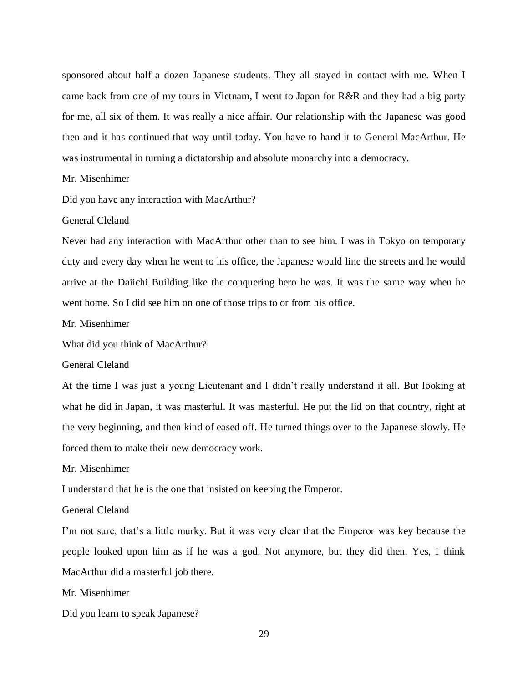sponsored about half a dozen Japanese students. They all stayed in contact with me. When I came back from one of my tours in Vietnam, I went to Japan for R&R and they had a big party for me, all six of them. It was really a nice affair. Our relationship with the Japanese was good then and it has continued that way until today. You have to hand it to General MacArthur. He was instrumental in turning a dictatorship and absolute monarchy into a democracy.

## Mr. Misenhimer

Did you have any interaction with MacArthur?

## General Cleland

Never had any interaction with MacArthur other than to see him. I was in Tokyo on temporary duty and every day when he went to his office, the Japanese would line the streets and he would arrive at the Daiichi Building like the conquering hero he was. It was the same way when he went home. So I did see him on one of those trips to or from his office.

## Mr. Misenhimer

What did you think of MacArthur?

## General Cleland

At the time I was just a young Lieutenant and I didn't really understand it all. But looking at what he did in Japan, it was masterful. It was masterful. He put the lid on that country, right at the very beginning, and then kind of eased off. He turned things over to the Japanese slowly. He forced them to make their new democracy work.

## Mr. Misenhimer

I understand that he is the one that insisted on keeping the Emperor.

## General Cleland

I'm not sure, that's a little murky. But it was very clear that the Emperor was key because the people looked upon him as if he was a god. Not anymore, but they did then. Yes, I think MacArthur did a masterful job there.

# Mr. Misenhimer

Did you learn to speak Japanese?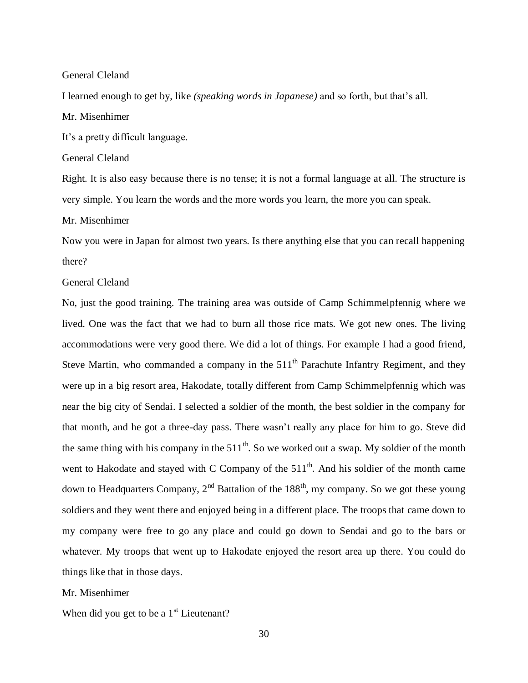I learned enough to get by, like *(speaking words in Japanese)* and so forth, but that's all.

Mr. Misenhimer

It's a pretty difficult language.

General Cleland

Right. It is also easy because there is no tense; it is not a formal language at all. The structure is very simple. You learn the words and the more words you learn, the more you can speak.

Mr. Misenhimer

Now you were in Japan for almost two years. Is there anything else that you can recall happening there?

## General Cleland

No, just the good training. The training area was outside of Camp Schimmelpfennig where we lived. One was the fact that we had to burn all those rice mats. We got new ones. The living accommodations were very good there. We did a lot of things. For example I had a good friend, Steve Martin, who commanded a company in the  $511<sup>th</sup>$  Parachute Infantry Regiment, and they were up in a big resort area, Hakodate, totally different from Camp Schimmelpfennig which was near the big city of Sendai. I selected a soldier of the month, the best soldier in the company for that month, and he got a three-day pass. There wasn't really any place for him to go. Steve did the same thing with his company in the  $511<sup>th</sup>$ . So we worked out a swap. My soldier of the month went to Hakodate and stayed with C Company of the  $511<sup>th</sup>$ . And his soldier of the month came down to Headquarters Company, 2<sup>nd</sup> Battalion of the  $188<sup>th</sup>$ , my company. So we got these young soldiers and they went there and enjoyed being in a different place. The troops that came down to my company were free to go any place and could go down to Sendai and go to the bars or whatever. My troops that went up to Hakodate enjoyed the resort area up there. You could do things like that in those days.

Mr. Misenhimer

When did you get to be a  $1<sup>st</sup>$  Lieutenant?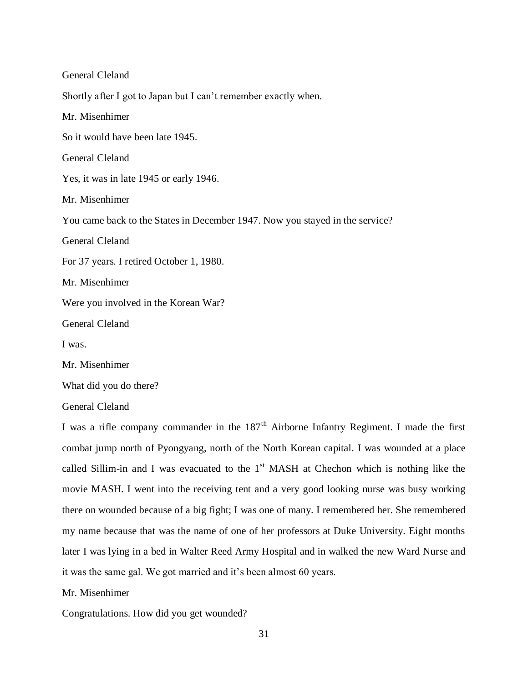General Cleland Shortly after I got to Japan but I can't remember exactly when. Mr. Misenhimer So it would have been late 1945. General Cleland Yes, it was in late 1945 or early 1946. Mr. Misenhimer You came back to the States in December 1947. Now you stayed in the service? General Cleland For 37 years. I retired October 1, 1980. Mr. Misenhimer Were you involved in the Korean War? General Cleland I was. Mr. Misenhimer What did you do there?

General Cleland

I was a rifle company commander in the  $187<sup>th</sup>$  Airborne Infantry Regiment. I made the first combat jump north of Pyongyang, north of the North Korean capital. I was wounded at a place called Sillim-in and I was evacuated to the  $1<sup>st</sup>$  MASH at Chechon which is nothing like the movie MASH. I went into the receiving tent and a very good looking nurse was busy working there on wounded because of a big fight; I was one of many. I remembered her. She remembered my name because that was the name of one of her professors at Duke University. Eight months later I was lying in a bed in Walter Reed Army Hospital and in walked the new Ward Nurse and it was the same gal. We got married and it's been almost 60 years.

Mr. Misenhimer

Congratulations. How did you get wounded?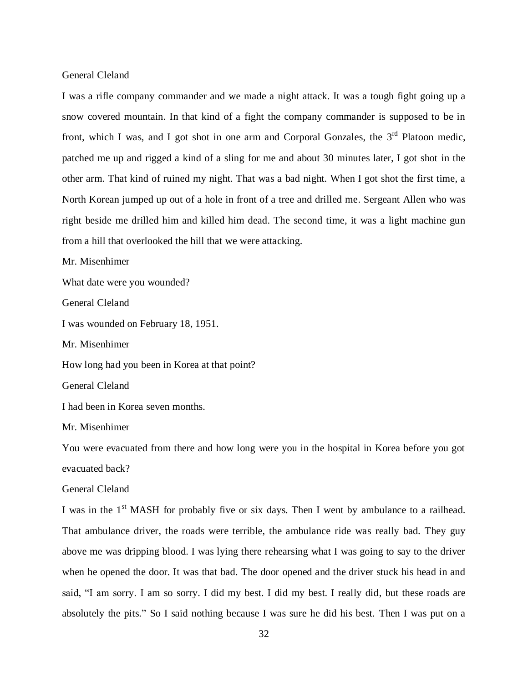I was a rifle company commander and we made a night attack. It was a tough fight going up a snow covered mountain. In that kind of a fight the company commander is supposed to be in front, which I was, and I got shot in one arm and Corporal Gonzales, the  $3<sup>rd</sup>$  Platoon medic, patched me up and rigged a kind of a sling for me and about 30 minutes later, I got shot in the other arm. That kind of ruined my night. That was a bad night. When I got shot the first time, a North Korean jumped up out of a hole in front of a tree and drilled me. Sergeant Allen who was right beside me drilled him and killed him dead. The second time, it was a light machine gun from a hill that overlooked the hill that we were attacking.

Mr. Misenhimer

What date were you wounded?

General Cleland

I was wounded on February 18, 1951.

Mr. Misenhimer

How long had you been in Korea at that point?

General Cleland

I had been in Korea seven months.

Mr. Misenhimer

You were evacuated from there and how long were you in the hospital in Korea before you got evacuated back?

General Cleland

I was in the 1<sup>st</sup> MASH for probably five or six days. Then I went by ambulance to a railhead. That ambulance driver, the roads were terrible, the ambulance ride was really bad. They guy above me was dripping blood. I was lying there rehearsing what I was going to say to the driver when he opened the door. It was that bad. The door opened and the driver stuck his head in and said, "I am sorry. I am so sorry. I did my best. I did my best. I really did, but these roads are absolutely the pits." So I said nothing because I was sure he did his best. Then I was put on a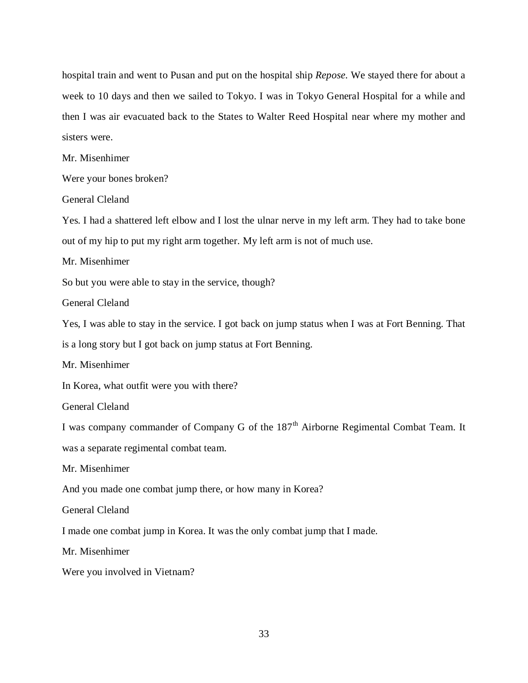hospital train and went to Pusan and put on the hospital ship *Repose.* We stayed there for about a week to 10 days and then we sailed to Tokyo. I was in Tokyo General Hospital for a while and then I was air evacuated back to the States to Walter Reed Hospital near where my mother and sisters were.

Mr. Misenhimer

Were your bones broken?

General Cleland

Yes. I had a shattered left elbow and I lost the ulnar nerve in my left arm. They had to take bone out of my hip to put my right arm together. My left arm is not of much use.

Mr. Misenhimer

So but you were able to stay in the service, though?

General Cleland

Yes, I was able to stay in the service. I got back on jump status when I was at Fort Benning. That is a long story but I got back on jump status at Fort Benning.

Mr. Misenhimer

In Korea, what outfit were you with there?

General Cleland

I was company commander of Company G of the 187<sup>th</sup> Airborne Regimental Combat Team. It was a separate regimental combat team.

Mr. Misenhimer

And you made one combat jump there, or how many in Korea?

General Cleland

I made one combat jump in Korea. It was the only combat jump that I made.

Mr. Misenhimer

Were you involved in Vietnam?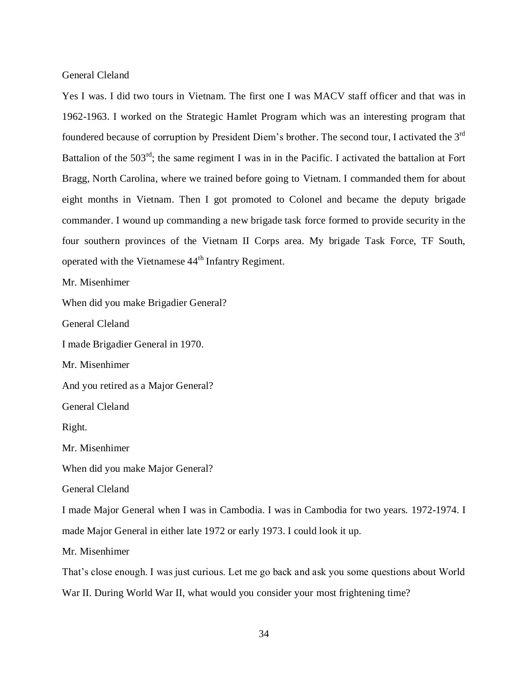Yes I was. I did two tours in Vietnam. The first one I was MACV staff officer and that was in 1962-1963. I worked on the Strategic Hamlet Program which was an interesting program that foundered because of corruption by President Diem's brother. The second tour, I activated the 3rd Battalion of the  $503<sup>rd</sup>$ ; the same regiment I was in in the Pacific. I activated the battalion at Fort Bragg, North Carolina, where we trained before going to Vietnam. I commanded them for about eight months in Vietnam. Then I got promoted to Colonel and became the deputy brigade commander. I wound up commanding a new brigade task force formed to provide security in the four southern provinces of the Vietnam II Corps area. My brigade Task Force, TF South, operated with the Vietnamese 44<sup>th</sup> Infantry Regiment.

Mr. Misenhimer

When did you make Brigadier General?

General Cleland

I made Brigadier General in 1970.

Mr. Misenhimer

And you retired as a Major General?

General Cleland

Right.

Mr. Misenhimer

When did you make Major General?

General Cleland

I made Major General when I was in Cambodia. I was in Cambodia for two years. 1972-1974. I made Major General in either late 1972 or early 1973. I could look it up.

Mr. Misenhimer

That's close enough. I was just curious. Let me go back and ask you some questions about World War II. During World War II, what would you consider your most frightening time?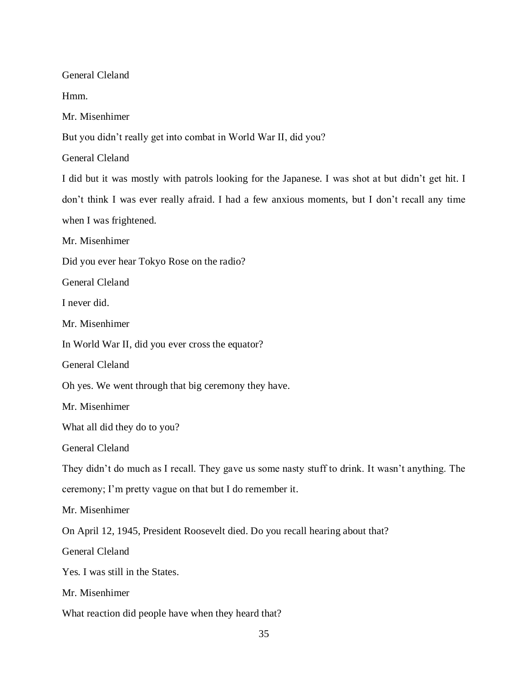General Cleland Hmm. Mr. Misenhimer But you didn't really get into combat in World War II, did you? General Cleland I did but it was mostly with patrols looking for the Japanese. I was shot at but didn't get hit. I don't think I was ever really afraid. I had a few anxious moments, but I don't recall any time when I was frightened. Mr. Misenhimer Did you ever hear Tokyo Rose on the radio? General Cleland I never did. Mr. Misenhimer In World War II, did you ever cross the equator? General Cleland Oh yes. We went through that big ceremony they have. Mr. Misenhimer What all did they do to you? General Cleland They didn't do much as I recall. They gave us some nasty stuff to drink. It wasn't anything. The ceremony; I'm pretty vague on that but I do remember it. Mr. Misenhimer On April 12, 1945, President Roosevelt died. Do you recall hearing about that? General Cleland Yes. I was still in the States. Mr. Misenhimer What reaction did people have when they heard that?

35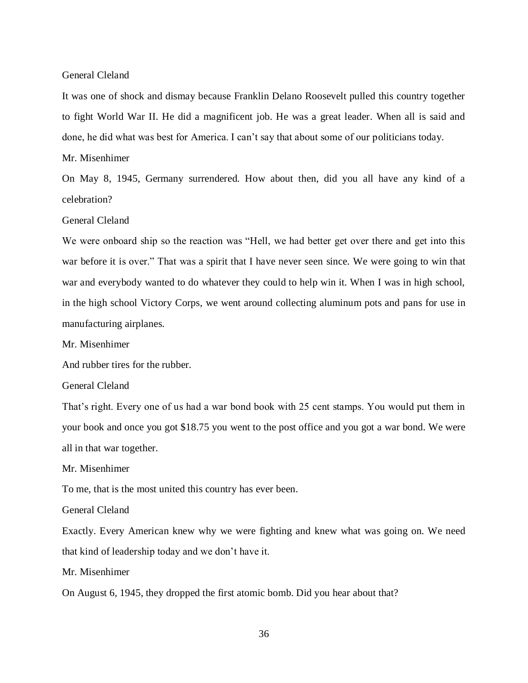It was one of shock and dismay because Franklin Delano Roosevelt pulled this country together to fight World War II. He did a magnificent job. He was a great leader. When all is said and done, he did what was best for America. I can't say that about some of our politicians today.

Mr. Misenhimer

On May 8, 1945, Germany surrendered. How about then, did you all have any kind of a celebration?

General Cleland

We were onboard ship so the reaction was "Hell, we had better get over there and get into this war before it is over." That was a spirit that I have never seen since. We were going to win that war and everybody wanted to do whatever they could to help win it. When I was in high school, in the high school Victory Corps, we went around collecting aluminum pots and pans for use in manufacturing airplanes.

Mr. Misenhimer

And rubber tires for the rubber.

General Cleland

That's right. Every one of us had a war bond book with 25 cent stamps. You would put them in your book and once you got \$18.75 you went to the post office and you got a war bond. We were all in that war together.

Mr. Misenhimer

To me, that is the most united this country has ever been.

General Cleland

Exactly. Every American knew why we were fighting and knew what was going on. We need that kind of leadership today and we don't have it.

Mr. Misenhimer

On August 6, 1945, they dropped the first atomic bomb. Did you hear about that?

36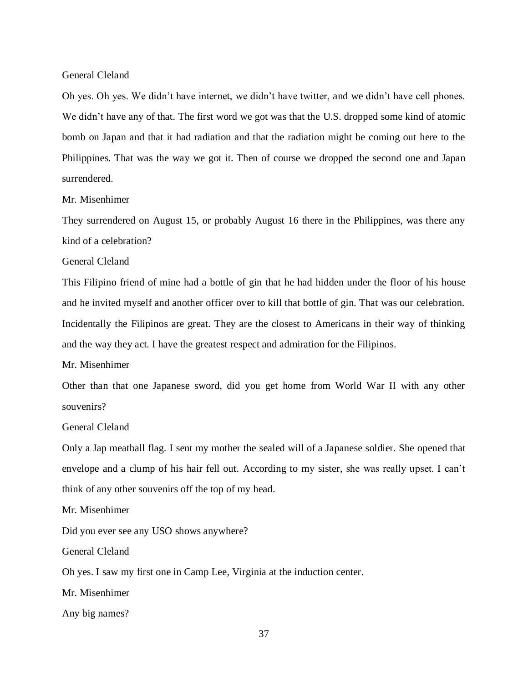Oh yes. Oh yes. We didn't have internet, we didn't have twitter, and we didn't have cell phones. We didn't have any of that. The first word we got was that the U.S. dropped some kind of atomic bomb on Japan and that it had radiation and that the radiation might be coming out here to the Philippines. That was the way we got it. Then of course we dropped the second one and Japan surrendered.

# Mr. Misenhimer

They surrendered on August 15, or probably August 16 there in the Philippines, was there any kind of a celebration?

## General Cleland

This Filipino friend of mine had a bottle of gin that he had hidden under the floor of his house and he invited myself and another officer over to kill that bottle of gin. That was our celebration. Incidentally the Filipinos are great. They are the closest to Americans in their way of thinking and the way they act. I have the greatest respect and admiration for the Filipinos.

## Mr. Misenhimer

Other than that one Japanese sword, did you get home from World War II with any other souvenirs?

# General Cleland

Only a Jap meatball flag. I sent my mother the sealed will of a Japanese soldier. She opened that envelope and a clump of his hair fell out. According to my sister, she was really upset. I can't think of any other souvenirs off the top of my head.

Mr. Misenhimer

Did you ever see any USO shows anywhere?

General Cleland

Oh yes. I saw my first one in Camp Lee, Virginia at the induction center.

Mr. Misenhimer

Any big names?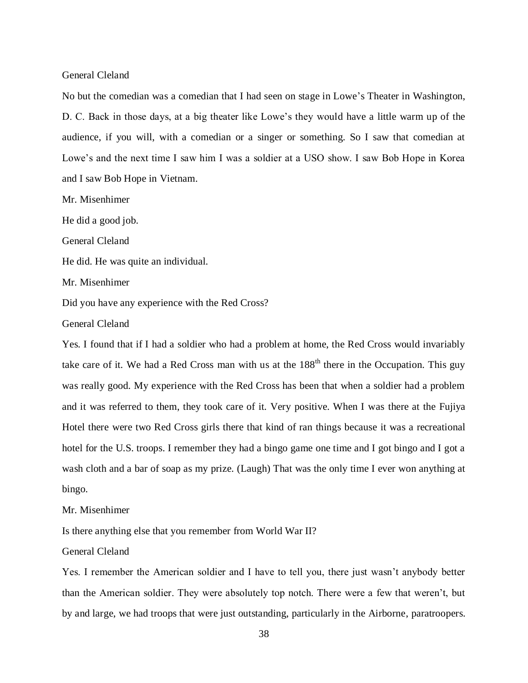No but the comedian was a comedian that I had seen on stage in Lowe's Theater in Washington, D. C. Back in those days, at a big theater like Lowe's they would have a little warm up of the audience, if you will, with a comedian or a singer or something. So I saw that comedian at Lowe's and the next time I saw him I was a soldier at a USO show. I saw Bob Hope in Korea and I saw Bob Hope in Vietnam.

Mr. Misenhimer

He did a good job.

General Cleland

He did. He was quite an individual.

Mr. Misenhimer

Did you have any experience with the Red Cross?

General Cleland

Yes. I found that if I had a soldier who had a problem at home, the Red Cross would invariably take care of it. We had a Red Cross man with us at the  $188<sup>th</sup>$  there in the Occupation. This guy was really good. My experience with the Red Cross has been that when a soldier had a problem and it was referred to them, they took care of it. Very positive. When I was there at the Fujiya Hotel there were two Red Cross girls there that kind of ran things because it was a recreational hotel for the U.S. troops. I remember they had a bingo game one time and I got bingo and I got a wash cloth and a bar of soap as my prize. (Laugh) That was the only time I ever won anything at bingo.

Mr. Misenhimer

Is there anything else that you remember from World War II?

General Cleland

Yes. I remember the American soldier and I have to tell you, there just wasn't anybody better than the American soldier. They were absolutely top notch. There were a few that weren't, but by and large, we had troops that were just outstanding, particularly in the Airborne, paratroopers.